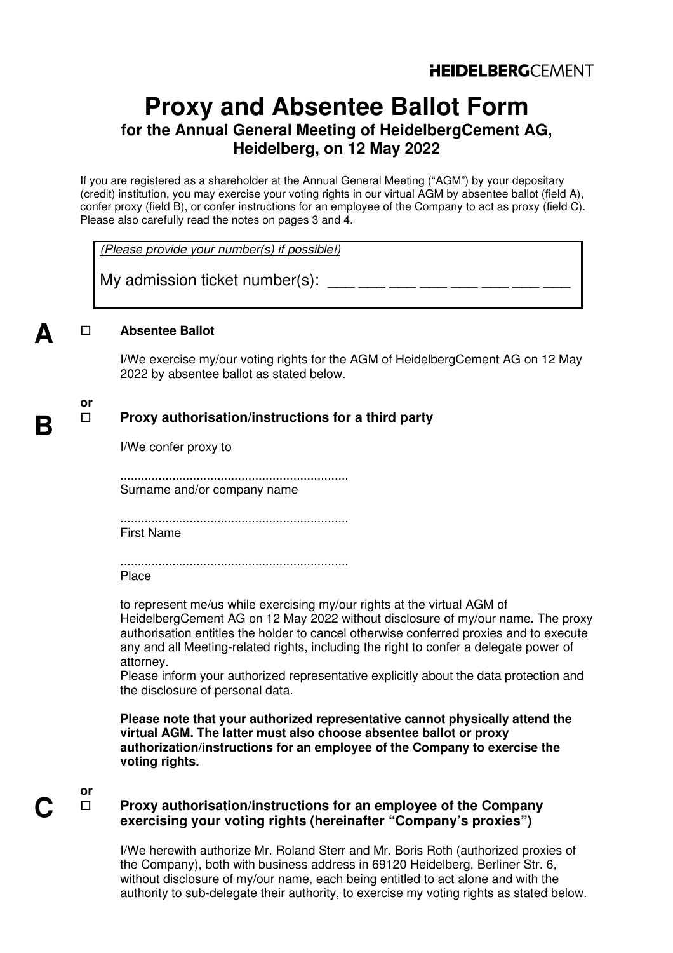# **Proxy and Absentee Ballot Form for the Annual General Meeting of HeidelbergCement AG, Heidelberg, on 12 May 2022**

If you are registered as a shareholder at the Annual General Meeting ("AGM") by your depositary (credit) institution, you may exercise your voting rights in our virtual AGM by absentee ballot (field A), confer proxy (field B), or confer instructions for an employee of the Company to act as proxy (field C). Please also carefully read the notes on pages 3 and 4.

(Please provide your number(s) if possible!)

My admission ticket number(s):  $\frac{1}{2}$   $\frac{1}{2}$   $\frac{1}{2}$   $\frac{1}{2}$   $\frac{1}{2}$   $\frac{1}{2}$   $\frac{1}{2}$   $\frac{1}{2}$ 

### **Absentee Ballot**

I/We exercise my/our voting rights for the AGM of HeidelbergCement AG on 12 May 2022 by absentee ballot as stated below.

# **or**

**A**

**B**

## **Proxy authorisation/instructions for a third party**

I/We confer proxy to

.................................................................. Surname and/or company name

.................................................................. First Name

.................................................................. Place

to represent me/us while exercising my/our rights at the virtual AGM of HeidelbergCement AG on 12 May 2022 without disclosure of my/our name. The proxy authorisation entitles the holder to cancel otherwise conferred proxies and to execute any and all Meeting-related rights, including the right to confer a delegate power of attorney.

Please inform your authorized representative explicitly about the data protection and the disclosure of personal data.

**Please note that your authorized representative cannot physically attend the virtual AGM. The latter must also choose absentee ballot or proxy authorization/instructions for an employee of the Company to exercise the voting rights.** 

# **or**

### **Proxy authorisation/instructions for an employee of the Company exercising your voting rights (hereinafter "Company's proxies")**

I/We herewith authorize Mr. Roland Sterr and Mr. Boris Roth (authorized proxies of the Company), both with business address in 69120 Heidelberg, Berliner Str. 6, without disclosure of my/our name, each being entitled to act alone and with the authority to sub-delegate their authority, to exercise my voting rights as stated below.

**C**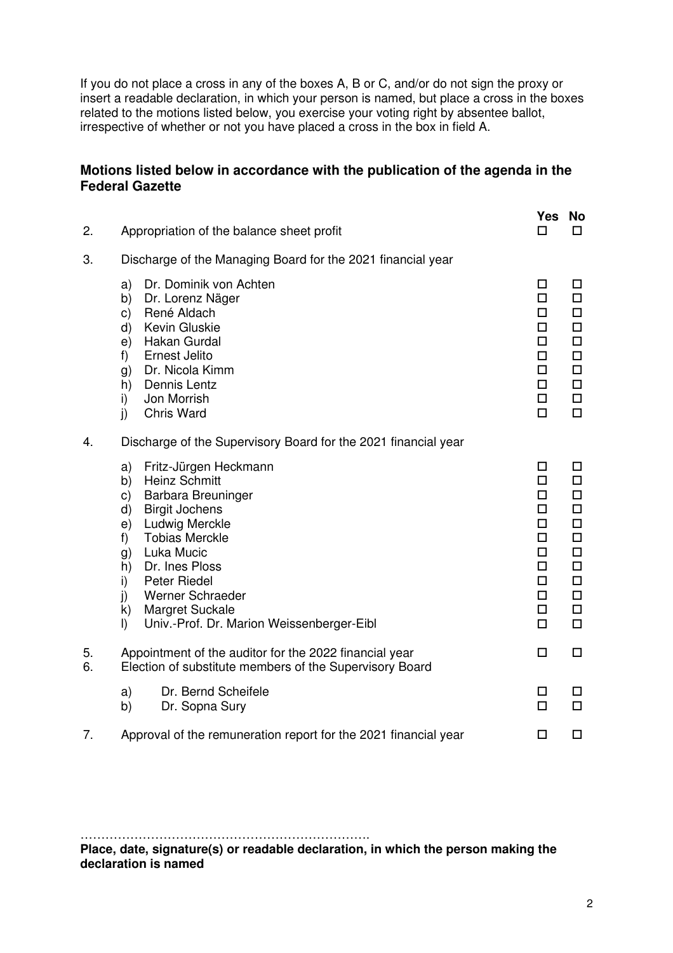If you do not place a cross in any of the boxes A, B or C, and/or do not sign the proxy or insert a readable declaration, in which your person is named, but place a cross in the boxes related to the motions listed below, you exercise your voting right by absentee ballot, irrespective of whether or not you have placed a cross in the box in field A.

## **Motions listed below in accordance with the publication of the agenda in the Federal Gazette**

| 2.       | Appropriation of the balance sheet profit                                                                                                                                                                                                                                                                                                                                    | Yes<br>п                                                                  | No<br>$\Box$                                                                                                    |
|----------|------------------------------------------------------------------------------------------------------------------------------------------------------------------------------------------------------------------------------------------------------------------------------------------------------------------------------------------------------------------------------|---------------------------------------------------------------------------|-----------------------------------------------------------------------------------------------------------------|
| 3.       | Discharge of the Managing Board for the 2021 financial year                                                                                                                                                                                                                                                                                                                  |                                                                           |                                                                                                                 |
|          | Dr. Dominik von Achten<br>a)<br>b)<br>Dr. Lorenz Näger<br>René Aldach<br>C)<br>Kevin Gluskie<br>d)<br>Hakan Gurdal<br>e)<br>f)<br>Ernest Jelito<br>Dr. Nicola Kimm<br>g)<br>Dennis Lentz<br>h)<br>Jon Morrish<br>i)<br>Chris Ward<br>j)                                                                                                                                      | □<br>□<br>□<br>п<br>◻<br>◻<br>□<br>□<br>□<br>$\Box$                       | □<br>$\Box$<br>$\Box$<br>$\Box$<br>$\Box$<br>$\Box$<br>$\Box$<br>$\Box$<br>$\Box$<br>$\Box$                     |
| 4.       | Discharge of the Supervisory Board for the 2021 financial year                                                                                                                                                                                                                                                                                                               |                                                                           |                                                                                                                 |
|          | Fritz-Jürgen Heckmann<br>a)<br><b>Heinz Schmitt</b><br>b)<br>Barbara Breuninger<br>C)<br><b>Birgit Jochens</b><br>$\mathsf{d}$<br>Ludwig Merckle<br>e)<br><b>Tobias Merckle</b><br>f)<br>Luka Mucic<br>g)<br>Dr. Ines Ploss<br>h)<br>Peter Riedel<br>i)<br>$\mathbf{j}$<br>Werner Schraeder<br>Margret Suckale<br>k)<br>$\vert$<br>Univ.-Prof. Dr. Marion Weissenberger-Eibl | □<br>□<br>□<br>п.<br>◻<br>□<br>п.<br>□<br>$\Box$<br>□<br>$\Box$<br>$\Box$ | □<br>$\Box$<br>$\Box$<br>$\Box$<br>$\Box$<br>$\Box$<br>$\Box$<br>$\Box$<br>$\Box$<br>$\Box$<br>$\Box$<br>$\Box$ |
| 5.<br>6. | Appointment of the auditor for the 2022 financial year<br>Election of substitute members of the Supervisory Board                                                                                                                                                                                                                                                            | □                                                                         | $\Box$                                                                                                          |
|          | Dr. Bernd Scheifele<br>a)<br>Dr. Sopna Sury<br>b)                                                                                                                                                                                                                                                                                                                            | $\Box$<br>$\Box$                                                          | □<br>$\Box$                                                                                                     |
| 7.       | Approval of the remuneration report for the 2021 financial year                                                                                                                                                                                                                                                                                                              | □                                                                         | $\Box$                                                                                                          |

……………………………………………………………. **Place, date, signature(s) or readable declaration, in which the person making the declaration is named**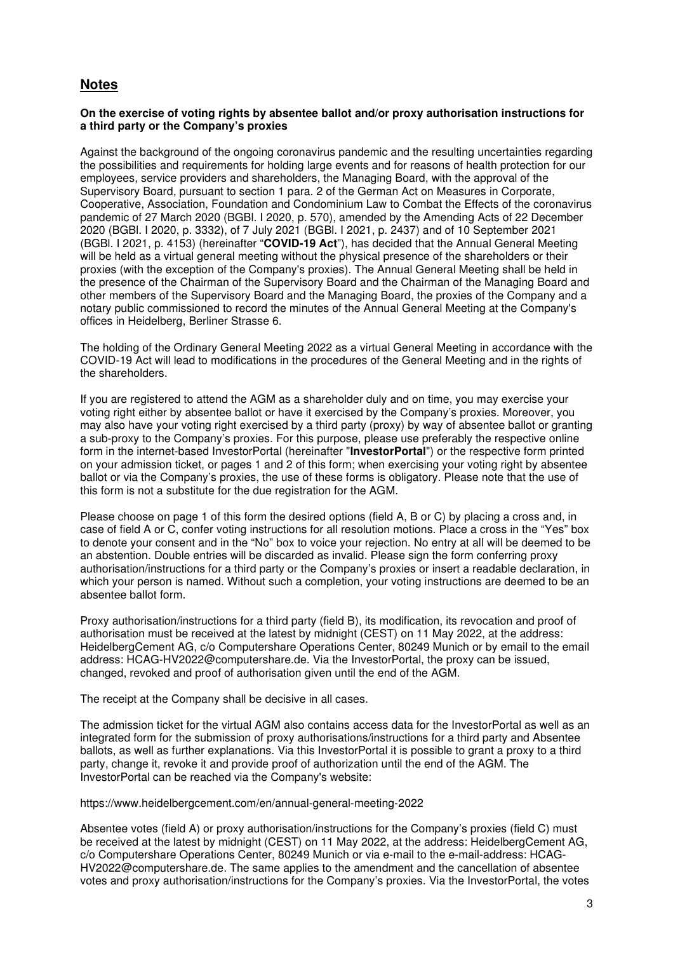## **Notes**

#### **On the exercise of voting rights by absentee ballot and/or proxy authorisation instructions for a third party or the Company's proxies**

Against the background of the ongoing coronavirus pandemic and the resulting uncertainties regarding the possibilities and requirements for holding large events and for reasons of health protection for our employees, service providers and shareholders, the Managing Board, with the approval of the Supervisory Board, pursuant to section 1 para. 2 of the German Act on Measures in Corporate, Cooperative, Association, Foundation and Condominium Law to Combat the Effects of the coronavirus pandemic of 27 March 2020 (BGBl. I 2020, p. 570), amended by the Amending Acts of 22 December 2020 (BGBl. I 2020, p. 3332), of 7 July 2021 (BGBl. I 2021, p. 2437) and of 10 September 2021 (BGBl. I 2021, p. 4153) (hereinafter "**COVID-19 Act**"), has decided that the Annual General Meeting will be held as a virtual general meeting without the physical presence of the shareholders or their proxies (with the exception of the Company's proxies). The Annual General Meeting shall be held in the presence of the Chairman of the Supervisory Board and the Chairman of the Managing Board and other members of the Supervisory Board and the Managing Board, the proxies of the Company and a notary public commissioned to record the minutes of the Annual General Meeting at the Company's offices in Heidelberg, Berliner Strasse 6.

The holding of the Ordinary General Meeting 2022 as a virtual General Meeting in accordance with the COVID-19 Act will lead to modifications in the procedures of the General Meeting and in the rights of the shareholders.

If you are registered to attend the AGM as a shareholder duly and on time, you may exercise your voting right either by absentee ballot or have it exercised by the Company's proxies. Moreover, you may also have your voting right exercised by a third party (proxy) by way of absentee ballot or granting a sub-proxy to the Company's proxies. For this purpose, please use preferably the respective online form in the internet-based InvestorPortal (hereinafter "**InvestorPortal**") or the respective form printed on your admission ticket, or pages 1 and 2 of this form; when exercising your voting right by absentee ballot or via the Company's proxies, the use of these forms is obligatory. Please note that the use of this form is not a substitute for the due registration for the AGM.

Please choose on page 1 of this form the desired options (field A, B or C) by placing a cross and, in case of field A or C, confer voting instructions for all resolution motions. Place a cross in the "Yes" box to denote your consent and in the "No" box to voice your rejection. No entry at all will be deemed to be an abstention. Double entries will be discarded as invalid. Please sign the form conferring proxy authorisation/instructions for a third party or the Company's proxies or insert a readable declaration, in which your person is named. Without such a completion, your voting instructions are deemed to be an absentee ballot form.

Proxy authorisation/instructions for a third party (field B), its modification, its revocation and proof of authorisation must be received at the latest by midnight (CEST) on 11 May 2022, at the address: HeidelbergCement AG, c/o Computershare Operations Center, 80249 Munich or by email to the email address: HCAG-HV2022@computershare.de. Via the InvestorPortal, the proxy can be issued, changed, revoked and proof of authorisation given until the end of the AGM.

The receipt at the Company shall be decisive in all cases.

The admission ticket for the virtual AGM also contains access data for the InvestorPortal as well as an integrated form for the submission of proxy authorisations/instructions for a third party and Absentee ballots, as well as further explanations. Via this InvestorPortal it is possible to grant a proxy to a third party, change it, revoke it and provide proof of authorization until the end of the AGM. The InvestorPortal can be reached via the Company's website:

https://www.heidelbergcement.com/en/annual-general-meeting-2022

Absentee votes (field A) or proxy authorisation/instructions for the Company's proxies (field C) must be received at the latest by midnight (CEST) on 11 May 2022, at the address: HeidelbergCement AG, c/o Computershare Operations Center, 80249 Munich or via e-mail to the e-mail-address: HCAG-HV2022@computershare.de. The same applies to the amendment and the cancellation of absentee votes and proxy authorisation/instructions for the Company's proxies. Via the InvestorPortal, the votes